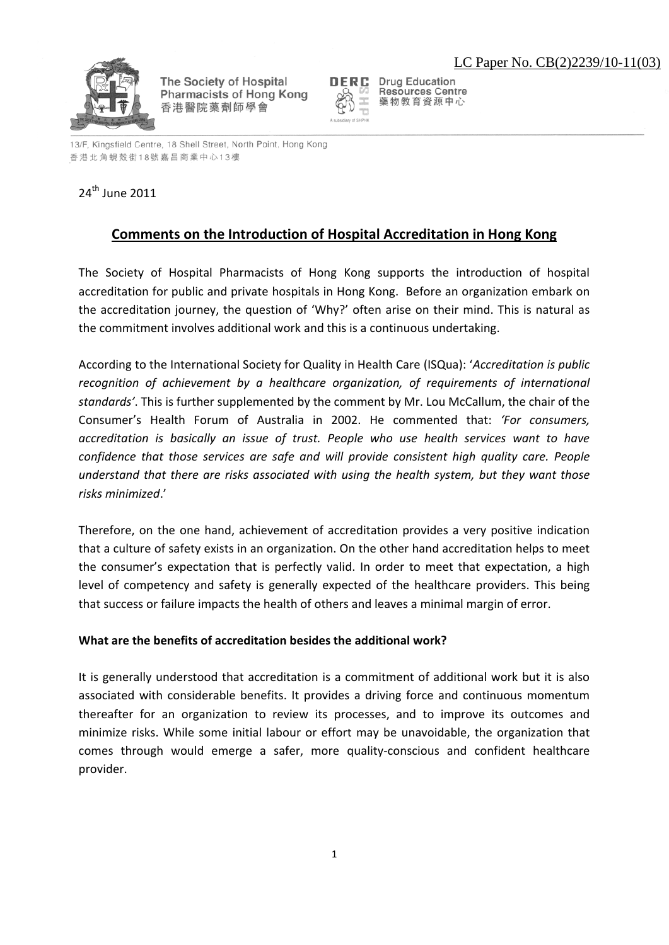

The Society of Hospital Pharmacists of Hong Kong 香港醫院藥劑師學會



**Drug Education Resources Centre** 藥物教育資源中心

13/F, Kingsfield Centre, 18 Shell Street, North Point, Hong Kong 香港北角蜆殼街18號嘉昌商業中心13樓

## 24th June 2011

## **Comments on the Introduction of Hospital Accreditation in Hong Kong**

The Society of Hospital Pharmacists of Hong Kong supports the introduction of hospital accreditation for public and private hospitals in Hong Kong. Before an organization embark on the accreditation journey, the question of 'Why?' often arise on their mind. This is natural as the commitment involves additional work and this is a continuous undertaking.

According to the International Society for Quality in Health Care (ISQua): '*Accreditation is public recognition of achievement by a healthcare organization, of requirements of international standards'*. This is further supplemented by the comment by Mr. Lou McCallum, the chair of the Consumer's Health Forum of Australia in 2002. He commented that: *'For consumers, accreditation is basically an issue of trust. People who use health services want to have confidence that those services are safe and will provide consistent high quality care. People understand that there are risks associated with using the health system, but they want those risks minimized*.'

Therefore, on the one hand, achievement of accreditation provides a very positive indication that a culture of safety exists in an organization. On the other hand accreditation helps to meet the consumer's expectation that is perfectly valid. In order to meet that expectation, a high level of competency and safety is generally expected of the healthcare providers. This being that success or failure impacts the health of others and leaves a minimal margin of error.

## **What are the benefits of accreditation besides the additional work?**

It is generally understood that accreditation is a commitment of additional work but it is also associated with considerable benefits. It provides a driving force and continuous momentum thereafter for an organization to review its processes, and to improve its outcomes and minimize risks. While some initial labour or effort may be unavoidable, the organization that comes through would emerge a safer, more quality-conscious and confident healthcare provider.